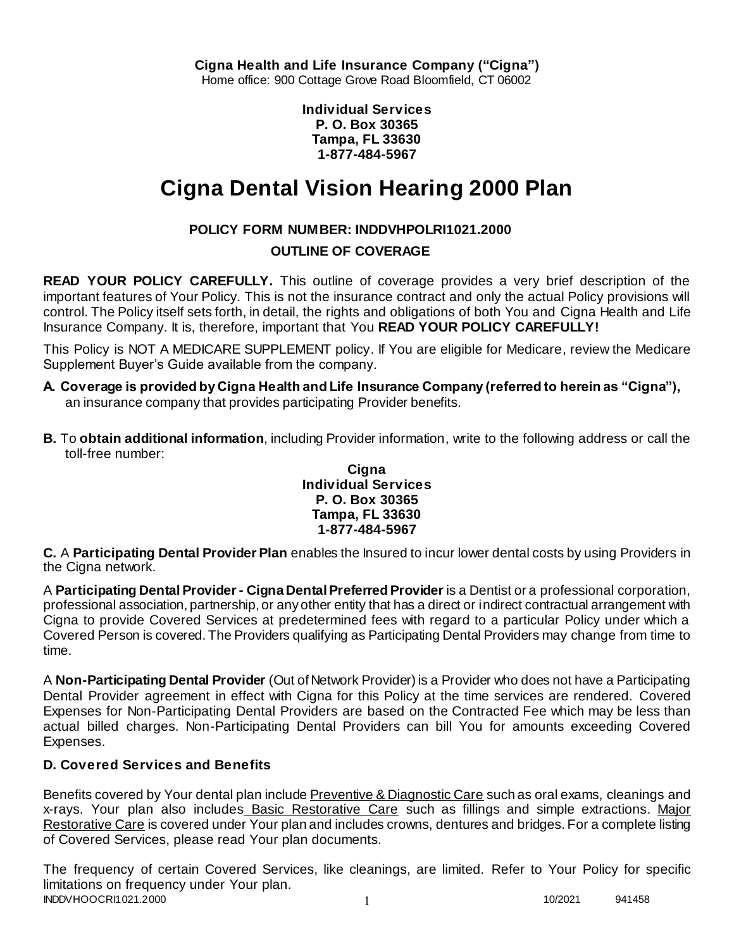**Individual Services P. O. Box 30365 Tampa, FL 33630 1-877-484-5967**

# **Cigna Dental Vision Hearing 2000 Plan**

# **POLICY FORM NUMBER: INDDVHPOLRI1021.2000**

# **OUTLINE OF COVERAGE**

**READ YOUR POLICY CAREFULLY.** This outline of coverage provides a very brief description of the important features of Your Policy. This is not the insurance contract and only the actual Policy provisions will control. The Policy itself sets forth, in detail, the rights and obligations of both You and Cigna Health and Life Insurance Company. It is, therefore, important that You **READ YOUR POLICY CAREFULLY!** 

This Policy is NOT A MEDICARE SUPPLEMENT policy. If You are eligible for Medicare, review the Medicare Supplement Buyer's Guide available from the company.

- **A. Coverage is provided by Cigna Health and Life Insurance Company (referred to herein as "Cigna"),**  an insurance company that provides participating Provider benefits.
- **B.** To **obtain additional information**, including Provider information, write to the following address or call the toll-free number:

### **Cigna Individual Services P. O. Box 30365 Tampa, FL 33630 1-877-484-5967**

**C.** A **Participating Dental Provider Plan** enables the Insured to incur lower dental costs by using Providers in the Cigna network.

A **Participating Dental Provider - Cigna Dental Preferred Provider** is a Dentist or a professional corporation, professional association, partnership, or any other entity that has a direct or indirect contractual arrangement with Cigna to provide Covered Services at predetermined fees with regard to a particular Policy under which a Covered Person is covered. The Providers qualifying as Participating Dental Providers may change from time to time.

A **Non-Participating Dental Provider** (Out of Network Provider) is a Provider who does not have a Participating Dental Provider agreement in effect with Cigna for this Policy at the time services are rendered. Covered Expenses for Non-Participating Dental Providers are based on the Contracted Fee which may be less than actual billed charges. Non-Participating Dental Providers can bill You for amounts exceeding Covered Expenses.

# **D. Covered Services and Benefits**

Benefits covered by Your dental plan include Preventive & Diagnostic Care such as oral exams, cleanings and x-rays. Your plan also includes Basic Restorative Care such as fillings and simple extractions. Major Restorative Care is covered under Your plan and includes crowns, dentures and bridges. For a complete listing of Covered Services, please read Your plan documents.

INDDVHOOCRI1021.2000 1 10/2021 941458 The frequency of certain Covered Services, like cleanings, are limited. Refer to Your Policy for specific limitations on frequency under Your plan.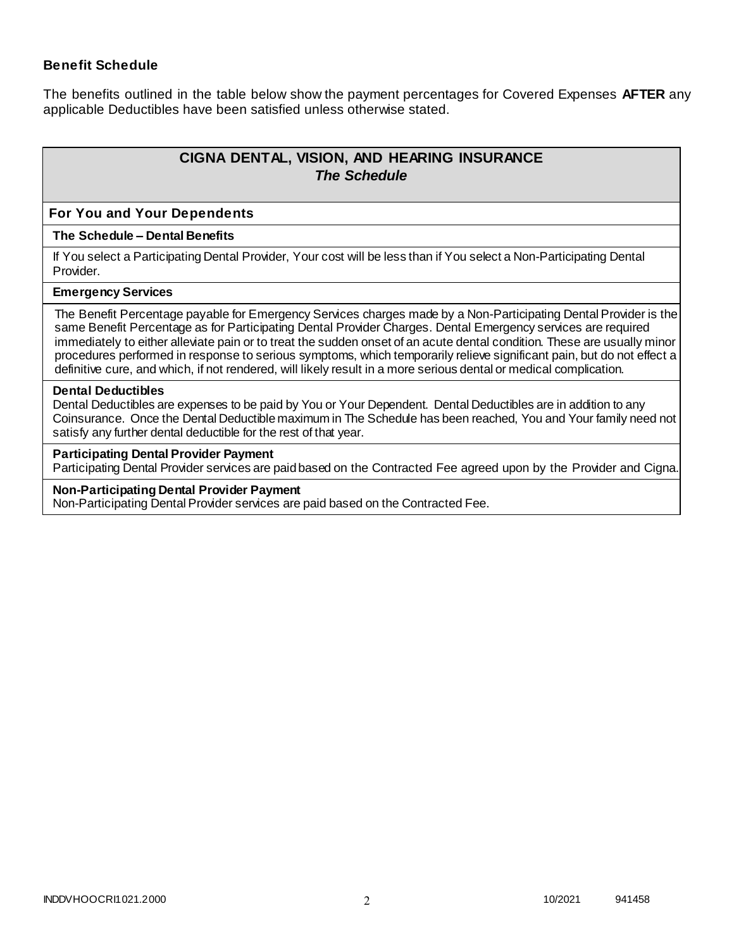### **Benefit Schedule**

The benefits outlined in the table below show the payment percentages for Covered Expenses **AFTER** any applicable Deductibles have been satisfied unless otherwise stated.

# **CIGNA DENTAL, VISION, AND HEARING INSURANCE** *The Schedule*

#### **For You and Your Dependents**

#### **The Schedule – Dental Benefits**

If You select a Participating Dental Provider, Your cost will be less than if You select a Non-Participating Dental Provider.

#### **Emergency Services**

The Benefit Percentage payable for Emergency Services charges made by a Non-Participating Dental Provider is the same Benefit Percentage as for Participating Dental Provider Charges. Dental Emergency services are required immediately to either alleviate pain or to treat the sudden onset of an acute dental condition. These are usually minor procedures performed in response to serious symptoms, which temporarily relieve significant pain, but do not effect a definitive cure, and which, if not rendered, will likely result in a more serious dental or medical complication.

#### **Dental Deductibles**

Dental Deductibles are expenses to be paid by You or Your Dependent. Dental Deductibles are in addition to any Coinsurance. Once the Dental Deductible maximum in The Schedule has been reached, You and Your family need not satisfy any further dental deductible for the rest of that year.

#### **Participating Dental Provider Payment**

Participating Dental Provider services are paid based on the Contracted Fee agreed upon by the Provider and Cigna.

#### **Non-Participating Dental Provider Payment**

Non-Participating Dental Provider services are paid based on the Contracted Fee.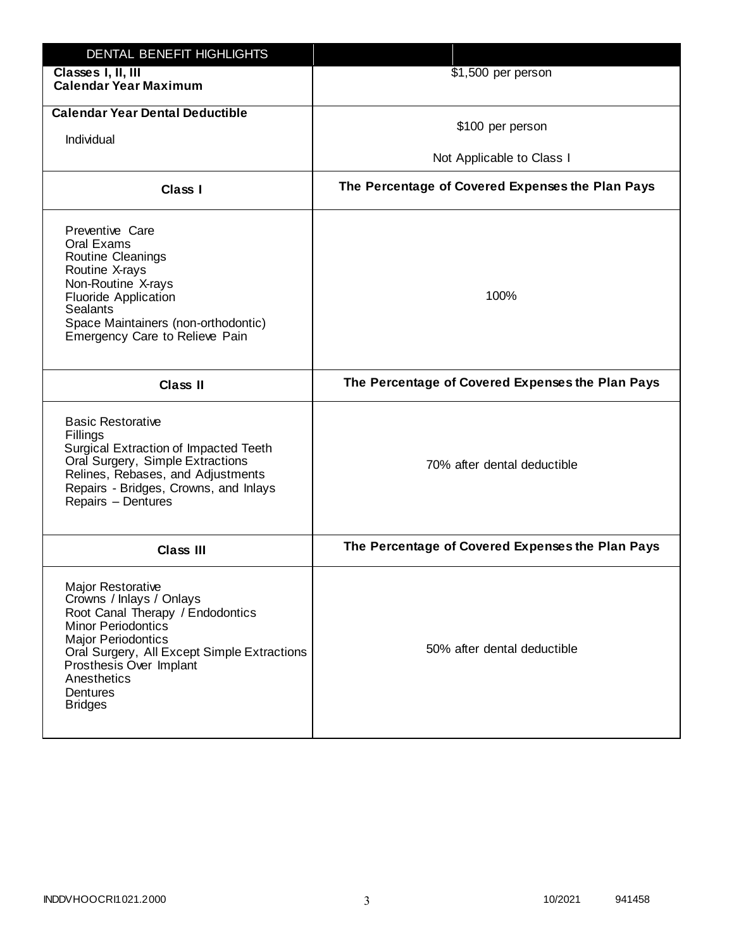| DENTAL BENEFIT HIGHLIGHTS                                                                                                                                                                                                                                                 |                                                  |
|---------------------------------------------------------------------------------------------------------------------------------------------------------------------------------------------------------------------------------------------------------------------------|--------------------------------------------------|
| Classes I, II, III<br><b>Calendar Year Maximum</b>                                                                                                                                                                                                                        | \$1,500 per person                               |
| <b>Calendar Year Dental Deductible</b><br>Individual                                                                                                                                                                                                                      | \$100 per person                                 |
|                                                                                                                                                                                                                                                                           | Not Applicable to Class I                        |
| Class I                                                                                                                                                                                                                                                                   | The Percentage of Covered Expenses the Plan Pays |
| Preventive Care<br>Oral Exams<br>Routine Cleanings<br>Routine X-rays<br>Non-Routine X-rays<br><b>Fluoride Application</b><br><b>Sealants</b><br>Space Maintainers (non-orthodontic)<br>Emergency Care to Relieve Pain                                                     | 100%                                             |
| <b>Class II</b>                                                                                                                                                                                                                                                           | The Percentage of Covered Expenses the Plan Pays |
| <b>Basic Restorative</b><br>Fillings<br>Surgical Extraction of Impacted Teeth<br>Oral Surgery, Simple Extractions<br>Relines, Rebases, and Adjustments<br>Repairs - Bridges, Crowns, and Inlays<br>Repairs - Dentures                                                     | 70% after dental deductible                      |
| <b>Class III</b>                                                                                                                                                                                                                                                          | The Percentage of Covered Expenses the Plan Pays |
| <b>Major Restorative</b><br>Crowns / Inlays / Onlays<br>Root Canal Therapy / Endodontics<br><b>Minor Periodontics</b><br><b>Major Periodontics</b><br>Oral Surgery, All Except Simple Extractions<br>Prosthesis Over Implant<br>Anesthetics<br>Dentures<br><b>Bridges</b> | 50% after dental deductible                      |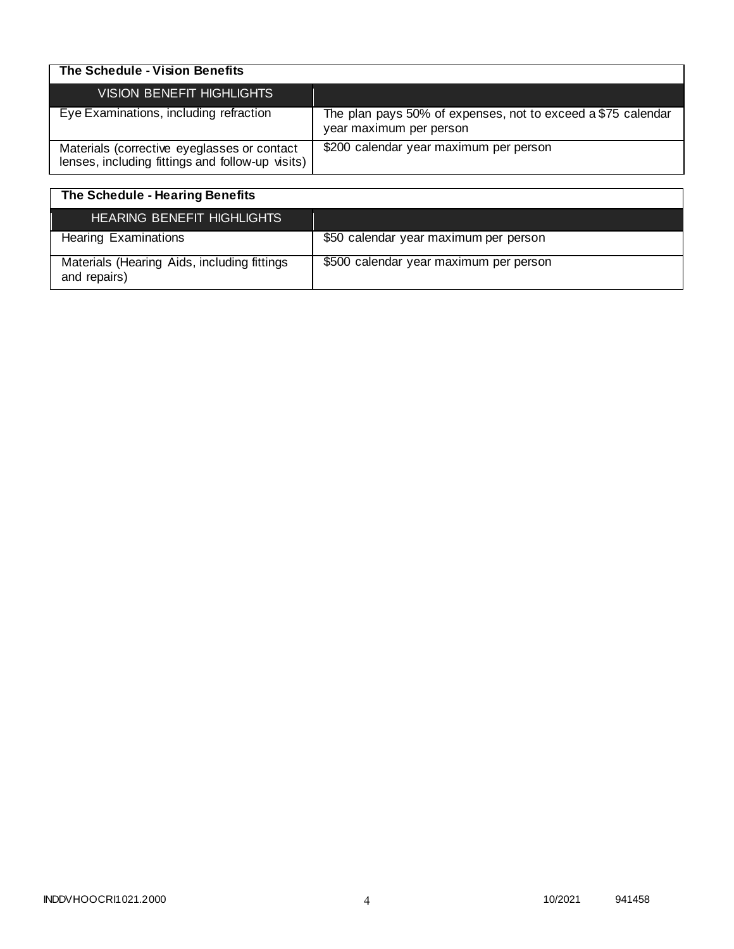| The Schedule - Vision Benefits                                                                  |                                                                                         |
|-------------------------------------------------------------------------------------------------|-----------------------------------------------------------------------------------------|
| VISION BENEFIT HIGHLIGHTS                                                                       |                                                                                         |
| Eye Examinations, including refraction                                                          | The plan pays 50% of expenses, not to exceed a \$75 calendar<br>year maximum per person |
| Materials (corrective eyeglasses or contact<br>lenses, including fittings and follow-up visits) | \$200 calendar year maximum per person                                                  |

| The Schedule - Hearing Benefits                             |                                        |
|-------------------------------------------------------------|----------------------------------------|
| <b>HEARING BENEFIT HIGHLIGHTS</b>                           |                                        |
| <b>Hearing Examinations</b>                                 | \$50 calendar year maximum per person  |
| Materials (Hearing Aids, including fittings<br>and repairs) | \$500 calendar year maximum per person |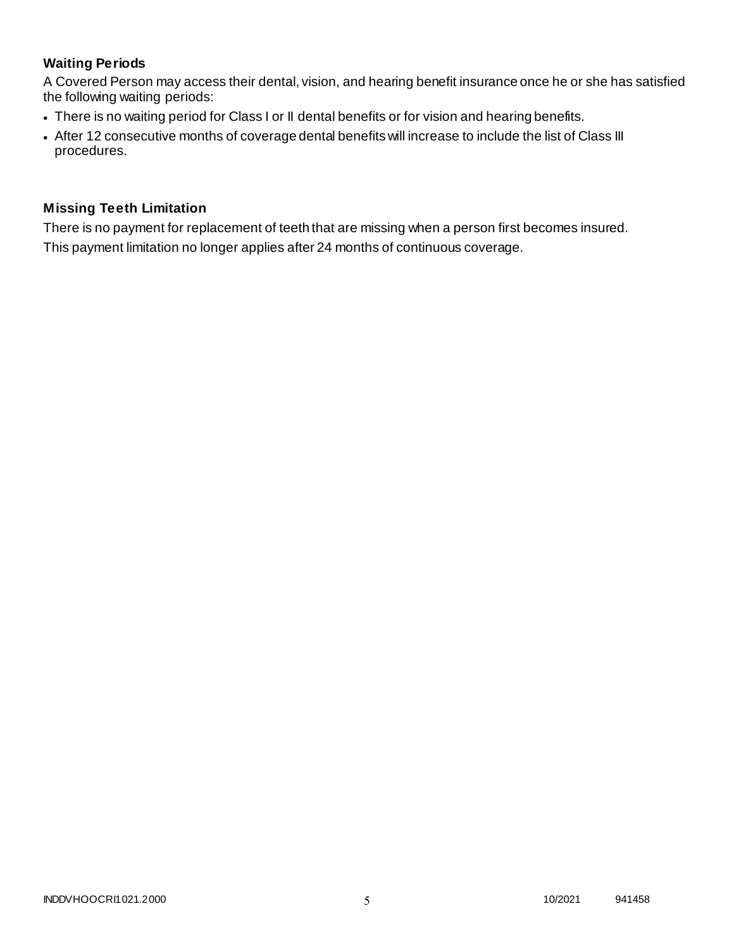# **Waiting Periods**

A Covered Person may access their dental, vision, and hearing benefit insurance once he or she has satisfied the following waiting periods:

- There is no waiting period for Class I or II dental benefits or for vision and hearing benefits.
- After 12 consecutive months of coverage dental benefits will increase to include the list of Class III procedures.

# **Missing Teeth Limitation**

There is no payment for replacement of teeth that are missing when a person first becomes insured. This payment limitation no longer applies after 24 months of continuous coverage.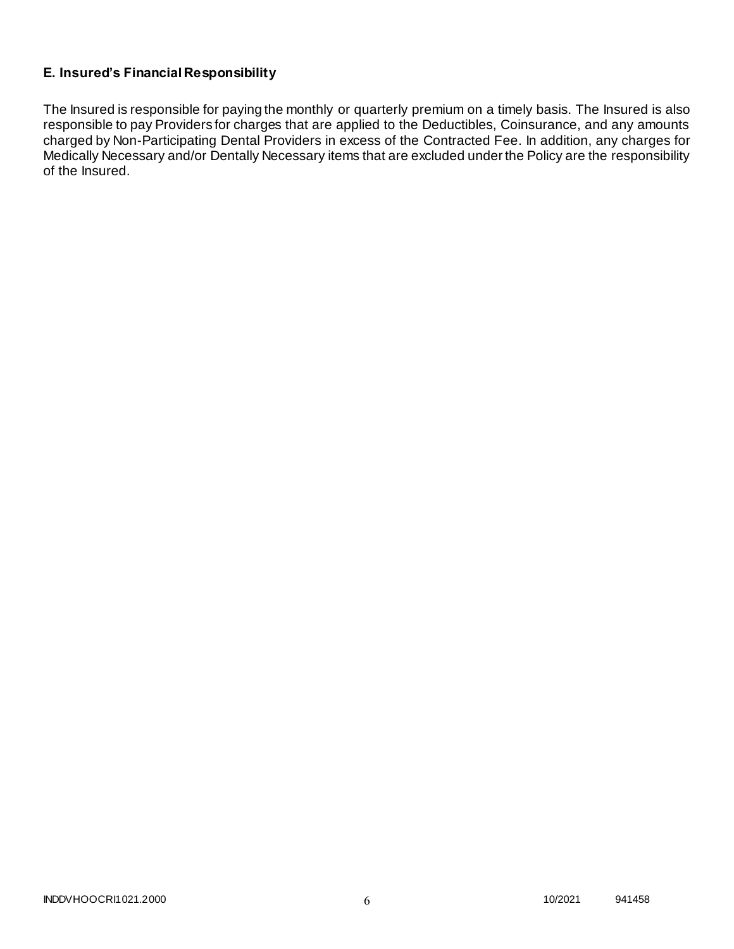# **E. Insured's Financial Responsibility**

The Insured is responsible for paying the monthly or quarterly premium on a timely basis. The Insured is also responsible to pay Providers for charges that are applied to the Deductibles, Coinsurance, and any amounts charged by Non-Participating Dental Providers in excess of the Contracted Fee. In addition, any charges for Medically Necessary and/or Dentally Necessary items that are excluded under the Policy are the responsibility of the Insured.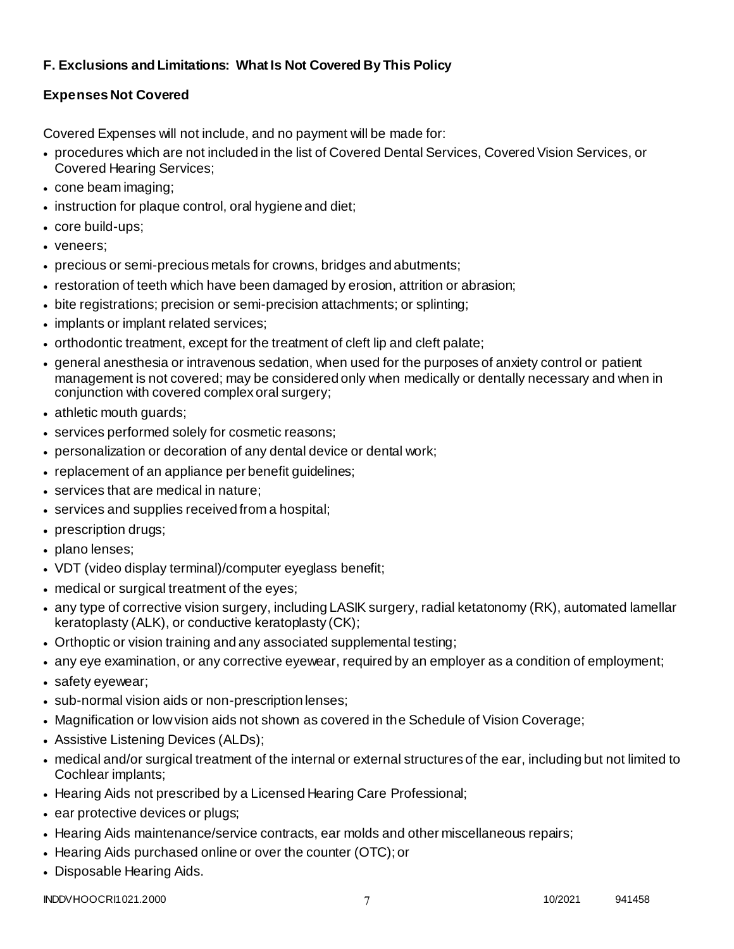# **F. Exclusions and Limitations: What Is Not Covered By This Policy**

# **Expenses Not Covered**

Covered Expenses will not include, and no payment will be made for:

- procedures which are not included in the list of Covered Dental Services, Covered Vision Services, or Covered Hearing Services;
- cone beam imaging;
- instruction for plaque control, oral hygiene and diet;
- core build-ups;
- veneers;
- precious or semi-precious metals for crowns, bridges and abutments;
- restoration of teeth which have been damaged by erosion, attrition or abrasion;
- bite registrations; precision or semi-precision attachments; or splinting;
- implants or implant related services;
- orthodontic treatment, except for the treatment of cleft lip and cleft palate;
- general anesthesia or intravenous sedation, when used for the purposes of anxiety control or patient management is not covered; may be considered only when medically or dentally necessary and when in conjunction with covered complex oral surgery;
- athletic mouth guards;
- services performed solely for cosmetic reasons;
- personalization or decoration of any dental device or dental work;
- replacement of an appliance per benefit guidelines;
- services that are medical in nature:
- services and supplies received from a hospital;
- prescription drugs;
- plano lenses:
- VDT (video display terminal)/computer eyeglass benefit;
- medical or surgical treatment of the eyes;
- any type of corrective vision surgery, including LASIK surgery, radial ketatonomy (RK), automated lamellar keratoplasty (ALK), or conductive keratoplasty (CK);
- Orthoptic or vision training and any associated supplemental testing;
- any eye examination, or any corrective eyewear, required by an employer as a condition of employment;
- safety eyewear;
- sub-normal vision aids or non-prescription lenses;
- Magnification or low vision aids not shown as covered in the Schedule of Vision Coverage;
- Assistive Listening Devices (ALDs);
- medical and/or surgical treatment of the internal or external structures of the ear, including but not limited to Cochlear implants;
- Hearing Aids not prescribed by a Licensed Hearing Care Professional;
- ear protective devices or plugs;
- Hearing Aids maintenance/service contracts, ear molds and other miscellaneous repairs;
- Hearing Aids purchased online or over the counter (OTC); or
- Disposable Hearing Aids.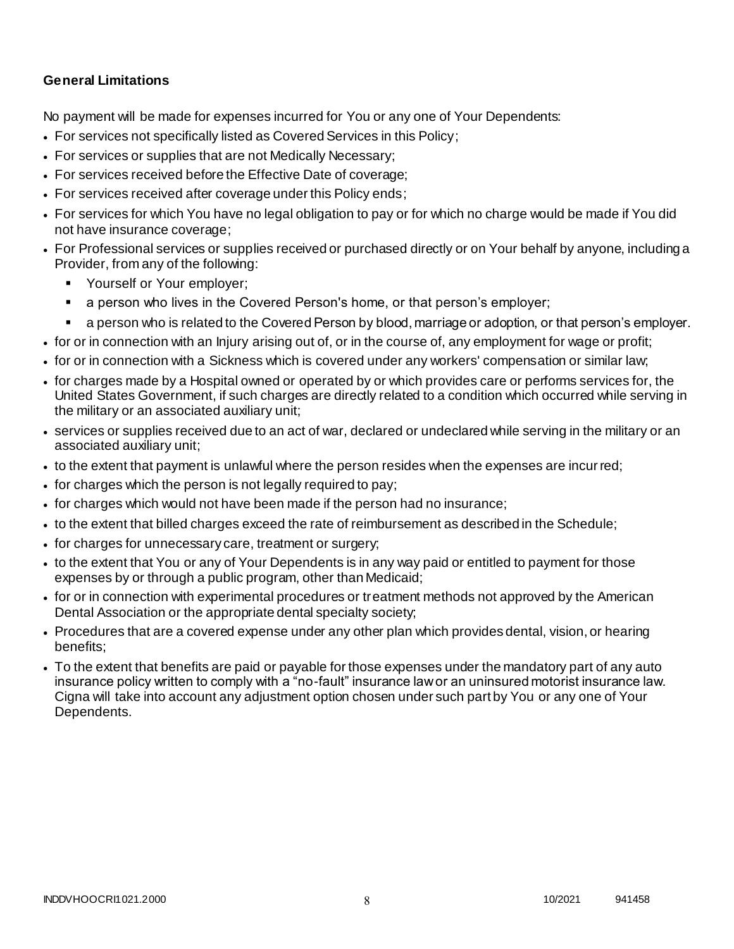# **General Limitations**

No payment will be made for expenses incurred for You or any one of Your Dependents:

- For services not specifically listed as Covered Services in this Policy;
- For services or supplies that are not Medically Necessary;
- For services received before the Effective Date of coverage;
- For services received after coverage under this Policy ends;
- For services for which You have no legal obligation to pay or for which no charge would be made if You did not have insurance coverage;
- For Professional services or supplies received or purchased directly or on Your behalf by anyone, including a Provider, from any of the following:
	- **Yourself or Your employer;**
	- a person who lives in the Covered Person's home, or that person's employer;
	- a person who is related to the Covered Person by blood, marriage or adoption, or that person's employer.
- for or in connection with an Injury arising out of, or in the course of, any employment for wage or profit;
- for or in connection with a Sickness which is covered under any workers' compensation or similar law;
- for charges made by a Hospital owned or operated by or which provides care or performs services for, the United States Government, if such charges are directly related to a condition which occurred while serving in the military or an associated auxiliary unit;
- services or supplies received due to an act of war, declared or undeclared while serving in the military or an associated auxiliary unit;
- to the extent that payment is unlawful where the person resides when the expenses are incurred;
- for charges which the person is not legally required to pay;
- for charges which would not have been made if the person had no insurance;
- to the extent that billed charges exceed the rate of reimbursement as described in the Schedule;
- for charges for unnecessary care, treatment or surgery;
- to the extent that You or any of Your Dependents is in any way paid or entitled to payment for those expenses by or through a public program, other than Medicaid;
- for or in connection with experimental procedures or treatment methods not approved by the American Dental Association or the appropriate dental specialty society;
- Procedures that are a covered expense under any other plan which provides dental, vision, or hearing benefits;
- To the extent that benefits are paid or payable for those expenses under the mandatory part of any auto insurance policy written to comply with a "no-fault" insurance law or an uninsured motorist insurance law. Cigna will take into account any adjustment option chosen under such part by You or any one of Your Dependents.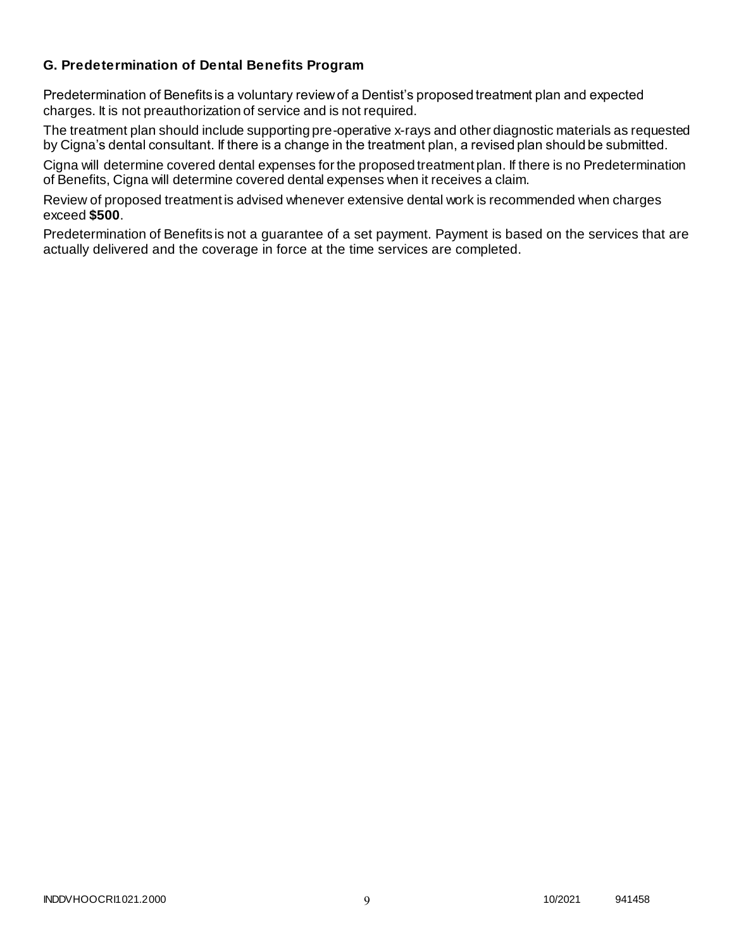# **G. Predetermination of Dental Benefits Program**

Predetermination of Benefits is a voluntary review of a Dentist's proposed treatment plan and expected charges. It is not preauthorization of service and is not required.

The treatment plan should include supporting pre-operative x-rays and other diagnostic materials as requested by Cigna's dental consultant. If there is a change in the treatment plan, a revised plan should be submitted.

Cigna will determine covered dental expenses for the proposed treatment plan. If there is no Predetermination of Benefits, Cigna will determine covered dental expenses when it receives a claim.

Review of proposed treatment is advised whenever extensive dental work is recommended when charges exceed **\$500**.

Predetermination of Benefits is not a guarantee of a set payment. Payment is based on the services that are actually delivered and the coverage in force at the time services are completed.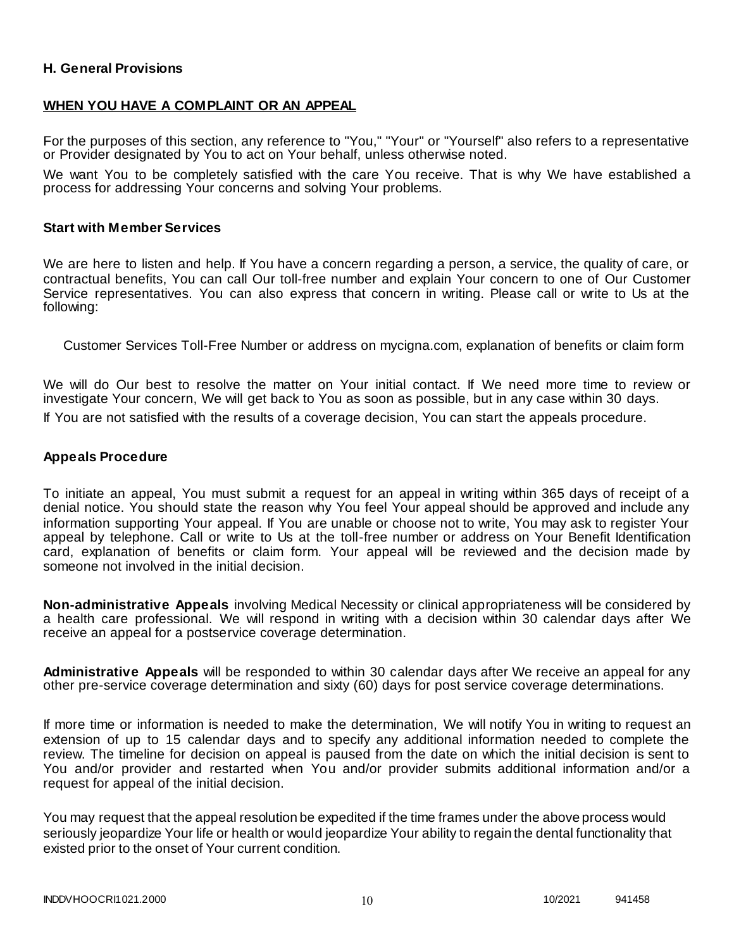# **H. General Provisions**

### **WHEN YOU HAVE A COMPLAINT OR AN APPEAL**

For the purposes of this section, any reference to "You," "Your" or "Yourself" also refers to a representative or Provider designated by You to act on Your behalf, unless otherwise noted.

We want You to be completely satisfied with the care You receive. That is why We have established a process for addressing Your concerns and solving Your problems.

### **Start with Member Services**

We are here to listen and help. If You have a concern regarding a person, a service, the quality of care, or contractual benefits, You can call Our toll-free number and explain Your concern to one of Our Customer Service representatives. You can also express that concern in writing. Please call or write to Us at the following:

Customer Services Toll-Free Number or address on mycigna.com, explanation of benefits or claim form

We will do Our best to resolve the matter on Your initial contact. If We need more time to review or investigate Your concern, We will get back to You as soon as possible, but in any case within 30 days.

If You are not satisfied with the results of a coverage decision, You can start the appeals procedure.

### **Appeals Procedure**

To initiate an appeal, You must submit a request for an appeal in writing within 365 days of receipt of a denial notice. You should state the reason why You feel Your appeal should be approved and include any information supporting Your appeal. If You are unable or choose not to write, You may ask to register Your appeal by telephone. Call or write to Us at the toll-free number or address on Your Benefit Identification card, explanation of benefits or claim form. Your appeal will be reviewed and the decision made by someone not involved in the initial decision.

**Non-administrative Appeals** involving Medical Necessity or clinical appropriateness will be considered by a health care professional. We will respond in writing with a decision within 30 calendar days after We receive an appeal for a postservice coverage determination.

**Administrative Appeals** will be responded to within 30 calendar days after We receive an appeal for any other pre-service coverage determination and sixty (60) days for post service coverage determinations.

If more time or information is needed to make the determination, We will notify You in writing to request an extension of up to 15 calendar days and to specify any additional information needed to complete the review. The timeline for decision on appeal is paused from the date on which the initial decision is sent to You and/or provider and restarted when You and/or provider submits additional information and/or a request for appeal of the initial decision.

You may request that the appeal resolution be expedited if the time frames under the above process would seriously jeopardize Your life or health or would jeopardize Your ability to regain the dental functionality that existed prior to the onset of Your current condition.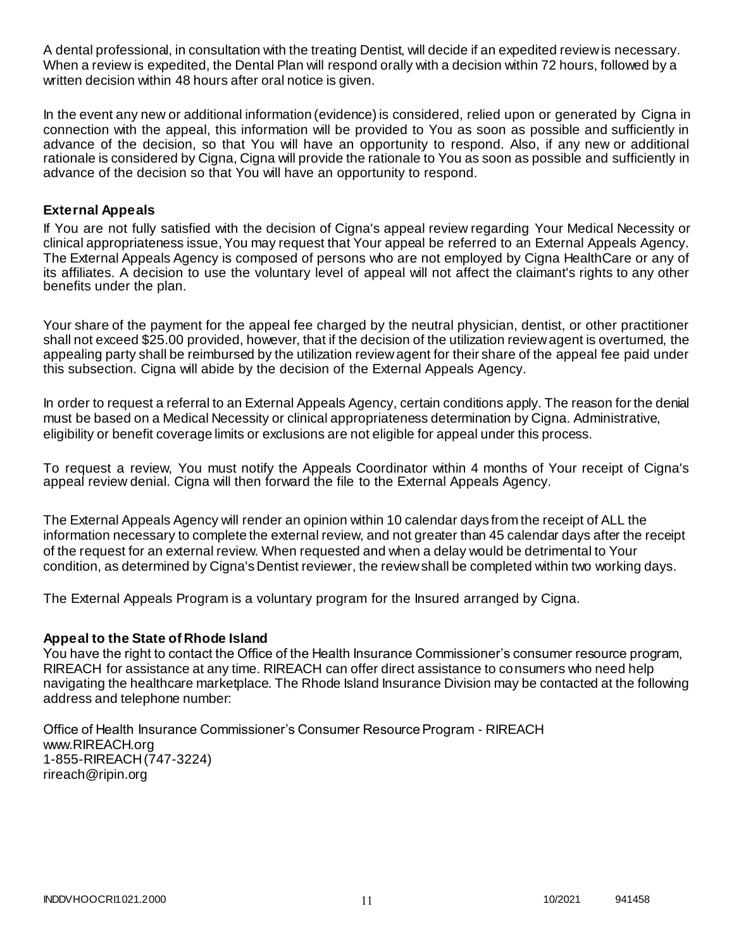A dental professional, in consultation with the treating Dentist, will decide if an expedited review is necessary. When a review is expedited, the Dental Plan will respond orally with a decision within 72 hours, followed by a written decision within 48 hours after oral notice is given.

In the event any new or additional information (evidence) is considered, relied upon or generated by Cigna in connection with the appeal, this information will be provided to You as soon as possible and sufficiently in advance of the decision, so that You will have an opportunity to respond. Also, if any new or additional rationale is considered by Cigna, Cigna will provide the rationale to You as soon as possible and sufficiently in advance of the decision so that You will have an opportunity to respond.

# **External Appeals**

If You are not fully satisfied with the decision of Cigna's appeal review regarding Your Medical Necessity or clinical appropriateness issue, You may request that Your appeal be referred to an External Appeals Agency. The External Appeals Agency is composed of persons who are not employed by Cigna HealthCare or any of its affiliates. A decision to use the voluntary level of appeal will not affect the claimant's rights to any other benefits under the plan.

Your share of the payment for the appeal fee charged by the neutral physician, dentist, or other practitioner shall not exceed \$25.00 provided, however, that if the decision of the utilization review agent is overturned, the appealing party shall be reimbursed by the utilization review agent for their share of the appeal fee paid under this subsection. Cigna will abide by the decision of the External Appeals Agency.

In order to request a referral to an External Appeals Agency, certain conditions apply. The reason for the denial must be based on a Medical Necessity or clinical appropriateness determination by Cigna. Administrative, eligibility or benefit coverage limits or exclusions are not eligible for appeal under this process.

To request a review, You must notify the Appeals Coordinator within 4 months of Your receipt of Cigna's appeal review denial. Cigna will then forward the file to the External Appeals Agency.

The External Appeals Agency will render an opinion within 10 calendar days from the receipt of ALL the information necessary to complete the external review, and not greater than 45 calendar days after the receipt of the request for an external review. When requested and when a delay would be detrimental to Your condition, as determined by Cigna's Dentist reviewer, the review shall be completed within two working days.

The External Appeals Program is a voluntary program for the Insured arranged by Cigna.

### **Appeal to the State of Rhode Island**

You have the right to contact the Office of the Health Insurance Commissioner's consumer resource program, RIREACH for assistance at any time. RIREACH can offer direct assistance to consumers who need help navigating the healthcare marketplace. The Rhode Island Insurance Division may be contacted at the following address and telephone number:

Office of Health Insurance Commissioner's Consumer Resource Program - RIREACH www.RIREACH.org 1-855-RIREACH (747-3224) [rireach@ripin.org](mailto:rireach@ripin.org)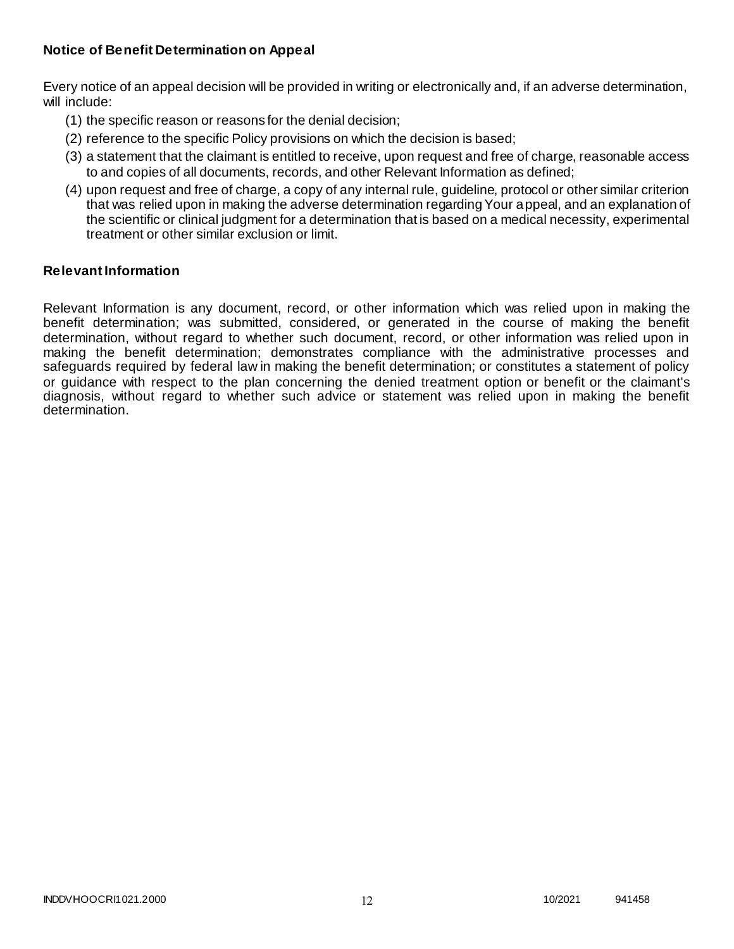# **Notice of Benefit Determination on Appeal**

Every notice of an appeal decision will be provided in writing or electronically and, if an adverse determination, will include:

- (1) the specific reason or reasons for the denial decision;
- (2) reference to the specific Policy provisions on which the decision is based;
- (3) a statement that the claimant is entitled to receive, upon request and free of charge, reasonable access to and copies of all documents, records, and other Relevant Information as defined;
- (4) upon request and free of charge, a copy of any internal rule, guideline, protocol or other similar criterion that was relied upon in making the adverse determination regarding Your appeal, and an explanation of the scientific or clinical judgment for a determination that is based on a medical necessity, experimental treatment or other similar exclusion or limit.

### **Relevant Information**

Relevant Information is any document, record, or other information which was relied upon in making the benefit determination; was submitted, considered, or generated in the course of making the benefit determination, without regard to whether such document, record, or other information was relied upon in making the benefit determination; demonstrates compliance with the administrative processes and safeguards required by federal law in making the benefit determination; or constitutes a statement of policy or guidance with respect to the plan concerning the denied treatment option or benefit or the claimant's diagnosis, without regard to whether such advice or statement was relied upon in making the benefit determination.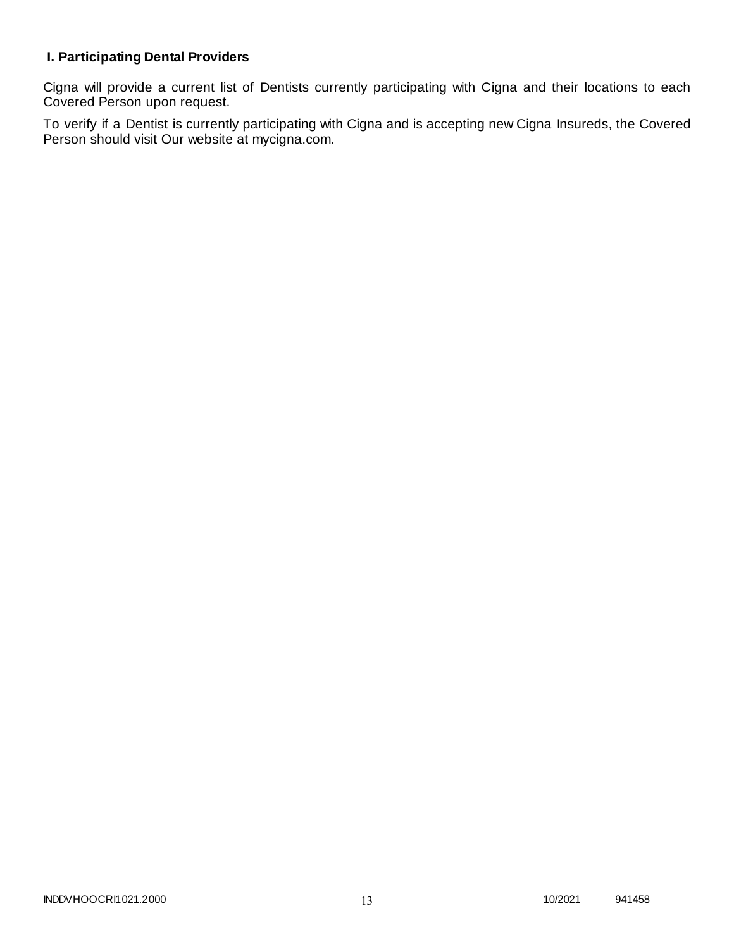# **I. Participating Dental Providers**

Cigna will provide a current list of Dentists currently participating with Cigna and their locations to each Covered Person upon request.

To verify if a Dentist is currently participating with Cigna and is accepting new Cigna Insureds, the Covered Person should visit Our website at mycigna.com.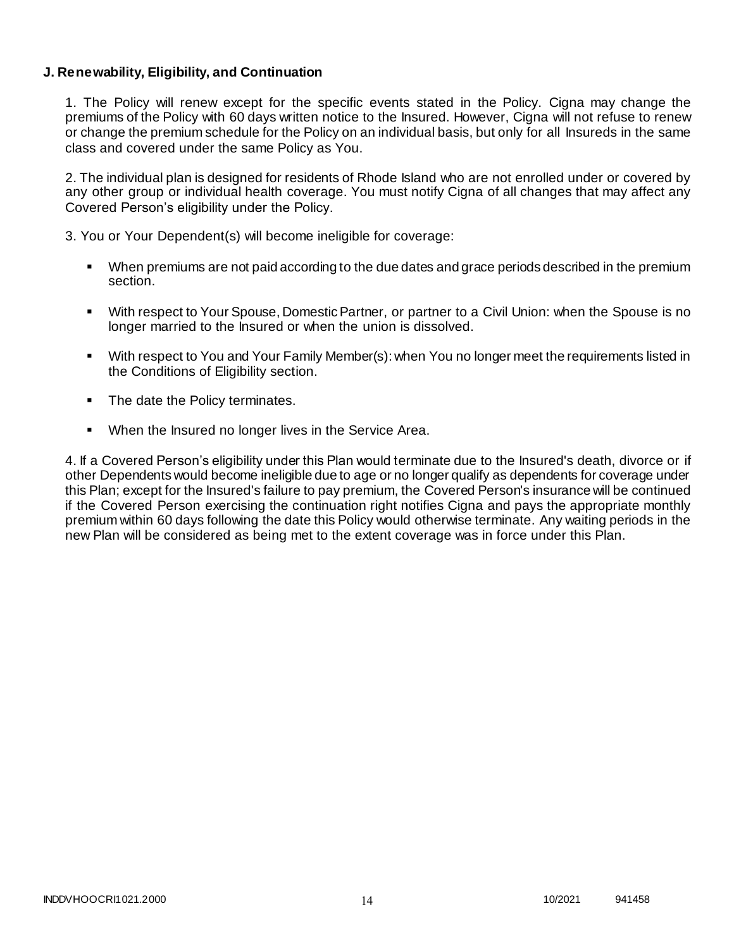# **J. Renewability, Eligibility, and Continuation**

1. The Policy will renew except for the specific events stated in the Policy. Cigna may change the premiums of the Policy with 60 days written notice to the Insured. However, Cigna will not refuse to renew or change the premium schedule for the Policy on an individual basis, but only for all Insureds in the same class and covered under the same Policy as You.

2. The individual plan is designed for residents of Rhode Island who are not enrolled under or covered by any other group or individual health coverage. You must notify Cigna of all changes that may affect any Covered Person's eligibility under the Policy.

3. You or Your Dependent(s) will become ineligible for coverage:

- When premiums are not paid according to the due dates and grace periods described in the premium section.
- With respect to Your Spouse, Domestic Partner, or partner to a Civil Union: when the Spouse is no longer married to the Insured or when the union is dissolved.
- With respect to You and Your Family Member(s): when You no longer meet the requirements listed in the Conditions of Eligibility section.
- The date the Policy terminates.
- When the Insured no longer lives in the Service Area.

4. If a Covered Person's eligibility under this Plan would terminate due to the Insured's death, divorce or if other Dependents would become ineligible due to age or no longer qualify as dependents for coverage under this Plan; except for the Insured's failure to pay premium, the Covered Person's insurance will be continued if the Covered Person exercising the continuation right notifies Cigna and pays the appropriate monthly premium within 60 days following the date this Policy would otherwise terminate. Any waiting periods in the new Plan will be considered as being met to the extent coverage was in force under this Plan.